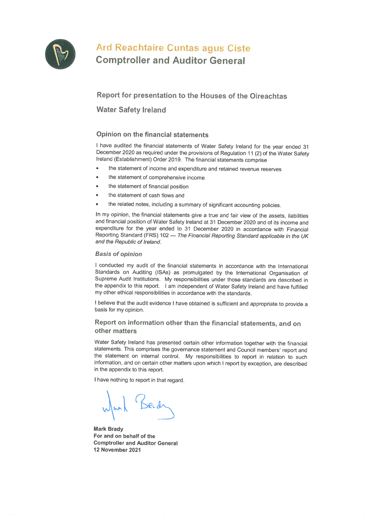

# Ard Reachtaire Cuntas agus Ciste **Comptroller and Auditor General**

## Report for presentation to the Houses of the Oireachtas

**Water Safety Ireland** 

## Opinion on the financial statements

I have audited the financial statements of Water Safety Ireland for the year ended 31 December 2020 as required under the provisions of Regulation 11 (2) of the Water Safety Ireland (Establishment) Order 2019. The financial statements comprise

- the statement of income and expenditure and retained revenue reserves
- the statement of comprehensive income  $\bullet$
- the statement of financial position
- the statement of cash flows and
- the related notes, including a summary of significant accounting policies.

In my opinion, the financial statements give a true and fair view of the assets, liabilities and financial position of Water Safety Ireland at 31 December 2020 and of its income and expenditure for the year ended to 31 December 2020 in accordance with Financial Reporting Standard (FRS) 102 - The Financial Reporting Standard applicable in the UK and the Republic of Ireland.

### **Basis of opinion**

I conducted my audit of the financial statements in accordance with the International Standards on Auditing (ISAs) as promulgated by the International Organisation of Supreme Audit Institutions. My responsibilities under those standards are described in the appendix to this report. I am independent of Water Safety Ireland and have fulfilled my other ethical responsibilities in accordance with the standards.

I believe that the audit evidence I have obtained is sufficient and appropriate to provide a basis for my opinion.

## Report on information other than the financial statements, and on other matters

Water Safety Ireland has presented certain other information together with the financial statements. This comprises the governance statement and Council members' report and the statement on internal control. My responsibilities to report in relation to such information, and on certain other matters upon which I report by exception, are described in the appendix to this report.

I have nothing to report in that regard.

**Mark Brady** For and on behalf of the **Comptroller and Auditor General** 12 November 2021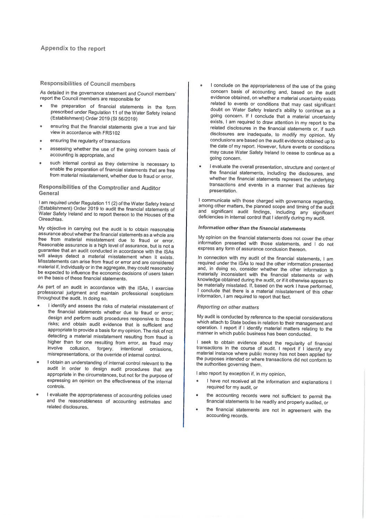#### **Responsibilities of Council members**

As detailed in the governance statement and Council members' report the Council members are responsible for

- the preparation of financial statements in the form prescribed under Regulation 11 of the Water Safety Ireland (Establishment) Order 2019 (SI 56/2019)
- ensuring that the financial statements give a true and fair view in accordance with FRS102
- ensuring the regularity of transactions
- assessing whether the use of the going concern basis of accounting is appropriate, and
- such internal control as they determine is necessary to enable the preparation of financial statements that are free from material misstatement, whether due to fraud or error.

#### Responsibilities of the Comptroller and Auditor General

I am required under Regulation 11 (2) of the Water Safety Ireland (Establishment) Order 2019 to audit the financial statements of Water Safety Ireland and to report thereon to the Houses of the Oireachtas.

My objective in carrying out the audit is to obtain reasonable assurance about whether the financial statements as a whole are free from material misstatement due to fraud or error. Reasonable assurance is a high level of assurance, but is not a guarantee that an audit conducted in accordance with the ISAs will always detect a material misstatement when it exists. Misstatements can arise from fraud or error and are considered material if, individually or in the aggregate, they could reasonably be expected to influence the economic decisions of users taken on the basis of these financial statements.

As part of an audit in accordance with the ISAs, I exercise professional judgment and maintain professional scepticism throughout the audit. In doing so,

- I identify and assess the risks of material misstatement of the financial statements whether due to fraud or error; design and perform audit procedures responsive to those risks; and obtain audit evidence that is sufficient and appropriate to provide a basis for my opinion. The risk of not detecting a material misstatement resulting from fraud is higher than for one resulting from error, as fraud may involve collusion, forgery, intentional omissions, misrepresentations, or the override of internal control.
- I obtain an understanding of internal control relevant to the audit in order to design audit procedures that are appropriate in the circumstances, but not for the purpose of expressing an opinion on the effectiveness of the internal controls
- I evaluate the appropriateness of accounting policies used and the reasonableness of accounting estimates and related disclosures.
- I conclude on the appropriateness of the use of the going concern basis of accounting and, based on the audit evidence obtained, on whether a material uncertainty exists related to events or conditions that may cast significant doubt on Water Safety Ireland's ability to continue as a going concern. If I conclude that a material uncertainty exists, I am required to draw attention in my report to the related disclosures in the financial statements or, if such disclosures are inadequate, to modify my opinion. My conclusions are based on the audit evidence obtained up to the date of my report. However, future events or conditions may cause Water Safety Ireland to cease to continue as a aoina concern.
- I evaluate the overall presentation, structure and content of the financial statements, including the disclosures, and whether the financial statements represent the underlying transactions and events in a manner that achieves fair presentation.

I communicate with those charged with governance regarding, among other matters, the planned scope and timing of the audit and significant audit findings, including any significant deficiencies in internal control that I identify during my audit.

#### Information other than the financial statements

My opinion on the financial statements does not cover the other information presented with those statements, and I do not express any form of assurance conclusion thereon.

In connection with my audit of the financial statements, I am required under the ISAs to read the other information presented and, in doing so, consider whether the other information is materially inconsistent with the financial statements or with knowledge obtained during the audit, or if it otherwise appears to be materially misstated. If, based on the work I have performed, I conclude that there is a material misstatement of this other information, I am required to report that fact.

#### **Reporting on other matters**

My audit is conducted by reference to the special considerations which attach to State bodies in relation to their management and operation. I report if I identify material matters relating to the manner in which public business has been conducted.

I seek to obtain evidence about the regularity of financial transactions in the course of audit. I report if I identify any material instance where public money has not been applied for the purposes intended or where transactions did not conform to the authorities governing them.

I also report by exception if, in my opinion.

- I have not received all the information and explanations I required for my audit, or
- the accounting records were not sufficient to permit the financial statements to be readily and properly audited, or
- the financial statements are not in agreement with the accounting records.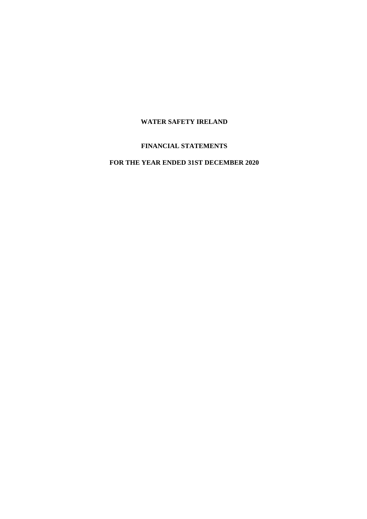## **FINANCIAL STATEMENTS**

## **FOR THE YEAR ENDED 31ST DECEMBER 2020**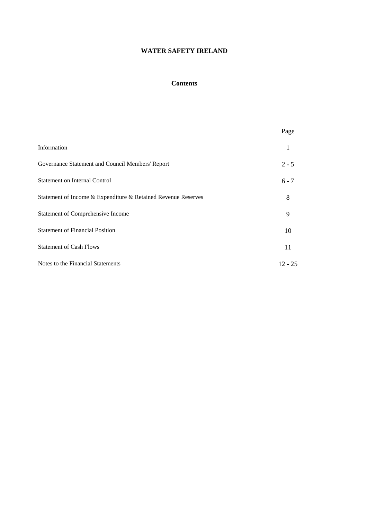### **Contents**

|                                                               | Page      |
|---------------------------------------------------------------|-----------|
| Information                                                   | 1         |
| Governance Statement and Council Members' Report              | $2 - 5$   |
| <b>Statement on Internal Control</b>                          | $6 - 7$   |
| Statement of Income & Expenditure & Retained Revenue Reserves | 8         |
| <b>Statement of Comprehensive Income</b>                      | 9         |
| <b>Statement of Financial Position</b>                        | 10        |
| <b>Statement of Cash Flows</b>                                | 11        |
| Notes to the Financial Statements                             | $12 - 25$ |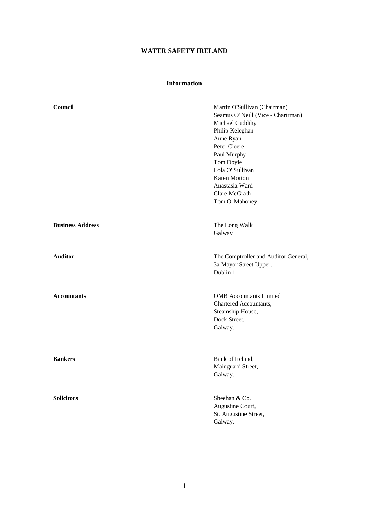## **Information**

| Council                 | Martin O'Sullivan (Chairman)<br>Seamus O' Neill (Vice - Charirman)<br>Michael Cuddihy<br>Philip Keleghan<br>Anne Ryan<br>Peter Cleere<br>Paul Murphy<br>Tom Doyle<br>Lola O' Sullivan<br><b>Karen Morton</b><br>Anastasia Ward<br>Clare McGrath<br>Tom O' Mahoney |
|-------------------------|-------------------------------------------------------------------------------------------------------------------------------------------------------------------------------------------------------------------------------------------------------------------|
| <b>Business Address</b> | The Long Walk<br>Galway                                                                                                                                                                                                                                           |
| <b>Auditor</b>          | The Comptroller and Auditor General,<br>3a Mayor Street Upper,<br>Dublin 1.                                                                                                                                                                                       |
| <b>Accountants</b>      | <b>OMB</b> Accountants Limited<br>Chartered Accountants,<br>Steamship House,<br>Dock Street,<br>Galway.                                                                                                                                                           |
| <b>Bankers</b>          | Bank of Ireland,<br>Mainguard Street,<br>Galway.                                                                                                                                                                                                                  |
| <b>Solicitors</b>       | Sheehan & Co.<br>Augustine Court,<br>St. Augustine Street,<br>Galway.                                                                                                                                                                                             |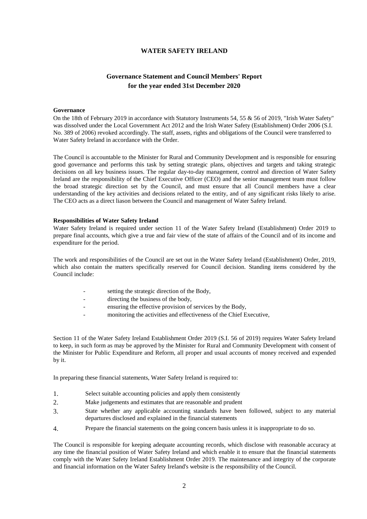## **Governance Statement and Council Members' Report for the year ended 31st December 2020**

#### **Governance**

On the 18th of February 2019 in accordance with Statutory Instruments 54, 55 & 56 of 2019, "Irish Water Safety" was dissolved under the Local Government Act 2012 and the Irish Water Safety (Establishment) Order 2006 (S.I. No. 389 of 2006) revoked accordingly. The staff, assets, rights and obligations of the Council were transferred to Water Safety Ireland in accordance with the Order.

The Council is accountable to the Minister for Rural and Community Development and is responsible for ensuring good governance and performs this task by setting strategic plans, objectives and targets and taking strategic decisions on all key business issues. The regular day-to-day management, control and direction of Water Safety Ireland are the responsibility of the Chief Executive Officer (CEO) and the senior management team must follow the broad strategic direction set by the Council, and must ensure that all Council members have a clear understanding of the key activities and decisions related to the entity, and of any significant risks likely to arise. The CEO acts as a direct liason between the Council and management of Water Safety Ireland.

### **Responsibilities of Water Safety Ireland**

Water Safety Ireland is required under section 11 of the Water Safety Ireland (Establishment) Order 2019 to prepare final accounts, which give a true and fair view of the state of affairs of the Council and of its income and expenditure for the period.

The work and responsibilities of the Council are set out in the Water Safety Ireland (Establishment) Order, 2019, which also contain the matters specifically reserved for Council decision. Standing items considered by the Council include:

- setting the strategic direction of the Body,
- directing the business of the body,
- ensuring the effective provision of services by the Body,
- monitoring the activities and effectiveness of the Chief Executive,

Section 11 of the Water Safety Ireland Establishment Order 2019 (S.I. 56 of 2019) requires Water Safety Ireland to keep, in such form as may be approved by the Minister for Rural and Community Development with consent of the Minister for Public Expenditure and Reform, all proper and usual accounts of money received and expended by it.

In preparing these financial statements, Water Safety Ireland is required to:

- 1. Select suitable accounting policies and apply them consistently
- 2. Make judgements and estimates that are reasonable and prudent
- 3. State whether any applicable accounting standards have been followed, subject to any material departures disclosed and explained in the financial statements
- 4. Prepare the financial statements on the going concern basis unless it is inappropriate to do so.

The Council is responsible for keeping adequate accounting records, which disclose with reasonable accuracy at any time the financial position of Water Safety Ireland and which enable it to ensure that the financial statements comply with the Water Safety Ireland Establishment Order 2019. The maintenance and integrity of the corporate and financial information on the Water Safety Ireland's website is the responsibility of the Council.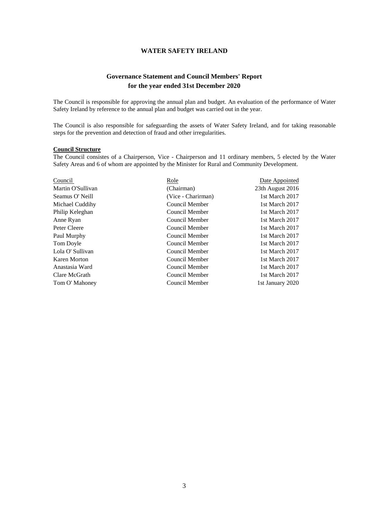## **Governance Statement and Council Members' Report for the year ended 31st December 2020**

The Council is responsible for approving the annual plan and budget. An evaluation of the performance of Water Safety Ireland by reference to the annual plan and budget was carried out in the year.

The Council is also responsible for safeguarding the assets of Water Safety Ireland, and for taking reasonable steps for the prevention and detection of fraud and other irregularities.

### **Council Structure**

The Council consistes of a Chairperson, Vice - Chairperson and 11 ordinary members, 5 elected by the Water Safety Areas and 6 of whom are appointed by the Minister for Rural and Community Development.

| Council           | Role               | Date Appointed   |
|-------------------|--------------------|------------------|
| Martin O'Sullivan | (Chairman)         | 23th August 2016 |
| Seamus O' Neill   | (Vice - Charirman) | 1st March 2017   |
| Michael Cuddihy   | Council Member     | 1st March 2017   |
| Philip Keleghan   | Council Member     | 1st March 2017   |
| Anne Ryan         | Council Member     | 1st March 2017   |
| Peter Cleere      | Council Member     | 1st March 2017   |
| Paul Murphy       | Council Member     | 1st March 2017   |
| Tom Doyle         | Council Member     | 1st March 2017   |
| Lola O' Sullivan  | Council Member     | 1st March 2017   |
| Karen Morton      | Council Member     | 1st March 2017   |
| Anastasia Ward    | Council Member     | 1st March 2017   |
| Clare McGrath     | Council Member     | 1st March 2017   |
| Tom O' Mahoney    | Council Member     | 1st January 2020 |
|                   |                    |                  |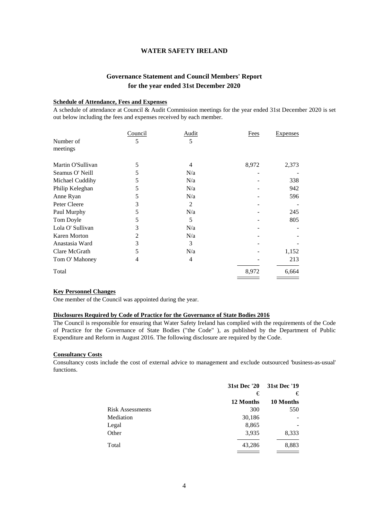## **Governance Statement and Council Members' Report for the year ended 31st December 2020**

### **Schedule of Attendance, Fees and Expenses**

A schedule of attendance at Council & Audit Commission meetings for the year ended 31st December 2020 is set out below including the fees and expenses received by each member.

|                     | Council | <b>Audit</b> | Fees  | <b>Expenses</b> |
|---------------------|---------|--------------|-------|-----------------|
| Number of           | 5       | 5            |       |                 |
| meetings            |         |              |       |                 |
| Martin O'Sullivan   | 5       | 4            | 8,972 | 2,373           |
| Seamus O' Neill     | 5       | N/a          |       |                 |
|                     |         |              |       |                 |
| Michael Cuddihy     | 5       | N/a          |       | 338             |
| Philip Keleghan     | 5       | N/a          |       | 942             |
| Anne Ryan           | 5       | N/a          |       | 596             |
| Peter Cleere        | 3       | 2            |       |                 |
| Paul Murphy         | 5       | N/a          |       | 245             |
| Tom Doyle           | 5       | 5            |       | 805             |
| Lola O' Sullivan    | 3       | N/a          |       |                 |
| <b>Karen Morton</b> | 2       | N/a          |       |                 |
| Anastasia Ward      | 3       | 3            |       |                 |
| Clare McGrath       | 5       | N/a          |       | 1,152           |
| Tom O' Mahoney      | 4       | 4            |       | 213             |
| Total               |         |              | 8,972 | 6,664           |

### **Key Personnel Changes**

One member of the Council was appointed during the year.

### **Disclosures Required by Code of Practice for the Governance of State Bodies 2016**

The Council is responsible for ensuring that Water Safety Ireland has complied with the requirements of the Code of Practice for the Governance of State Bodies ("the Code" ), as published by the Department of Public Expenditure and Reform in August 2016. The following disclosure are required by the Code.

### **Consultancy Costs**

Consultancy costs include the cost of external advice to management and exclude outsourced 'business-as-usual' functions.

|                         | 31st Dec '20 | 31st Dec '19 |
|-------------------------|--------------|--------------|
|                         | €            | €            |
|                         | 12 Months    | 10 Months    |
| <b>Risk Assessments</b> | 300          | 550          |
| Mediation               | 30,186       |              |
| Legal                   | 8,865        |              |
| Other                   | 3,935        | 8,333        |
| Total                   | 43,286       | 8,883        |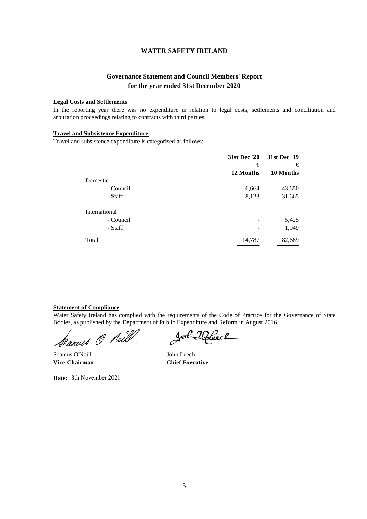## **Governance Statement and Council Members' Report for the year ended 31st December 2020**

### **Legal Costs and Settlements**

In the reporting year there was no expenditure in relation to legal costs, settlements and conciliation and arbitration proceedings relating to contracts with third parties.

### **Travel and Subsistence Expenditure**

Travel and subsistence expenditure is categorised as follows:

|               | 31st Dec '20 | 31st Dec '19 |
|---------------|--------------|--------------|
|               | €            | €            |
|               | 12 Months    | 10 Months    |
| Domestic      |              |              |
| - Council     | 6,664        | 43,650       |
| - Staff       | 8,123        | 31,665       |
| International |              |              |
| - Council     |              | 5,425        |
| - Staff       |              | 1,949        |
| Total         | 14,787       | 82,689       |

#### **Statement of Compliance**

Water Safety Ireland has complied with the requirements of the Code of Practice for the Governance of State Bodies, as published by the Department of Public Expenditure and Reform in August 2016.

Seaues O Neill. Sol-Reech

Seamus O'Neill John Leech **Vice-Chairman Chief Executive**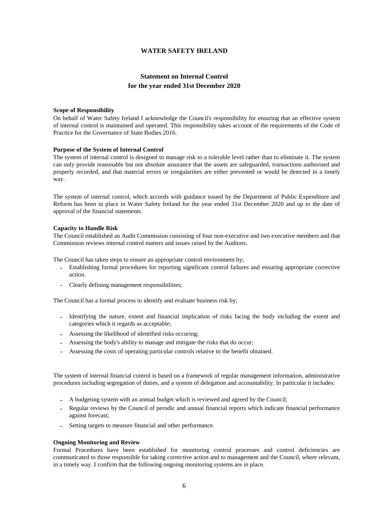## **Statement on Internal Control for the year ended 31st December 2020**

#### **Scope of Responsibility**

On behalf of Water Safety Ireland I acknowledge the Council's responsibility for ensuring that an effective system of internal control is maintained and operated. This responsibility takes account of the requirements of the Code of Practice for the Governance of State Bodies 2016.

### **Purpose of the System of Internal Control**

The system of internal control is designed to manage risk to a tolerable level rather than to eliminate it. The system can only provide reasonable but not absolute assurance that the assets are safeguarded, transactions authorised and properly recorded, and that material errors or irregularities are either prevented or would be detected in a timely way.

The system of internal control, which accords with guidance issued by the Department of Public Expenditure and Reform has been in place in Water Safety Ireland for the year ended 31st December 2020 and up to the date of approval of the financial statements.

#### **Capacity to Handle Risk**

The Council established an Audit Commission consisting of four non-executive and two executive members and that Commission reviews internal control matters and issues raised by the Auditors.

The Council has taken steps to ensure an appropriate control environment by;

- **-** Establishing formal procedures for reporting significant control failures and ensuring appropriate corrective action.
- **-** Clearly defining management responsibilities;

The Council has a formal process to identify and evaluate business risk by;

- **-** Identifying the nature, extent and financial implication of risks facing the body including the extent and categories which it regards as acceptable;
- **-** Assessing the likelihood of identified risks occuring;
- **-** Assessing the body's ability to manage and mitigate the risks that do occur;
- Assessing the costs of operating particular controls relative to the benefit obtained.

The system of internal financial control is based on a framework of regular management information, administrative procedures including segregation of duties, and a system of delegation and accountability. In particular it includes:

- **-** A budgeting system with an annual budget which is reviewed and agreed by the Council;
- **-** Regular reviews by the Council of perodic and annual financial reports which indicate financial performance against forecast;
- **-** Setting targets to measure financial and other performance.

#### **Ongoing Monitoring and Review**

Formal Procedures have been established for monitoring control processes and control deficiencies are communicated to those responsible for taking corrective action and to management and the Council, where relevant, in a timely way. I confirm that the following ongoing monitoring systems are in place.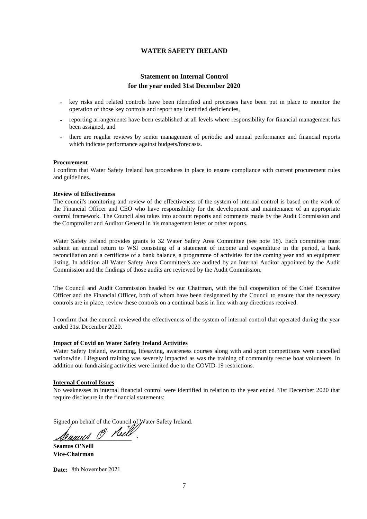## **Statement on Internal Control for the year ended 31st December 2020**

- **-** key risks and related controls have been identified and processes have been put in place to monitor the operation of those key controls and report any identified deficiencies,
- **-** reporting arrangements have been established at all levels where responsibility for financial management has been assigned, and
- **-** there are regular reviews by senior management of periodic and annual performance and financial reports which indicate performance against budgets/forecasts.

#### **Procurement**

I confirm that Water Safety Ireland has procedures in place to ensure compliance with current procurement rules and guidelines.

### **Review of Effectiveness**

The council's monitoring and review of the effectiveness of the system of internal control is based on the work of the Financial Officer and CEO who have responsibility for the development and maintenance of an appropriate control framework. The Council also takes into account reports and comments made by the Audit Commission and the Comptroller and Auditor General in his management letter or other reports.

Water Safety Ireland provides grants to 32 Water Safety Area Committee (see note 18). Each committee must submit an annual return to WSI consisting of a statement of income and expenditure in the period, a bank reconciliation and a certificate of a bank balance, a programme of activities for the coming year and an equipment listing. In addition all Water Safety Area Committee's are audited by an Internal Auditor appointed by the Audit Commission and the findings of those audits are reviewed by the Audit Commission.

The Council and Audit Commission headed by our Chairman, with the full cooperation of the Chief Executive Officer and the Financial Officer, both of whom have been designated by the Council to ensure that the necessary controls are in place, review these controls on a continual basis in line with any directions received.

I confirm that the council reviewed the effectiveness of the system of internal control that operated during the year ended 31st December 2020.

## **Impact of Covid on Water Safety Ireland Activities**

Water Safety Ireland, swimming, lifesaving, awareness courses along with and sport competitions were cancelled nationwide. Lifeguard training was severely impacted as was the training of community rescue boat volunteers. In addition our fundraising activities were limited due to the COVID-19 restrictions.

#### **Internal Control Issues**

No weaknesses in internal financial control were identified in relation to the year ended 31st December 2020 that require disclosure in the financial statements:

Signed on behalf of the Council of Water Safety Ireland.

Seamus O Neits

**Seamus O'Neill Vice-Chairman**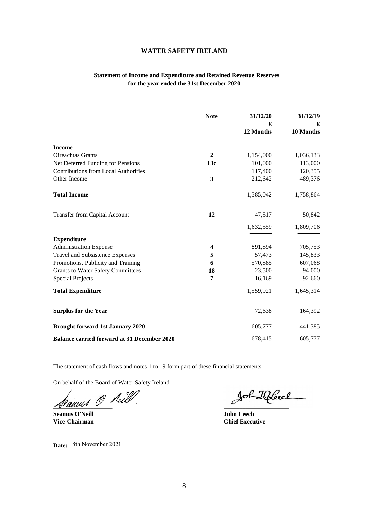## **Statement of Income and Expenditure and Retained Revenue Reserves for the year ended the 31st December 2020**

|                                                    | <b>Note</b>  | 31/12/20<br>€ | 31/12/19<br>€ |
|----------------------------------------------------|--------------|---------------|---------------|
|                                                    |              | 12 Months     | 10 Months     |
| <b>Income</b>                                      |              |               |               |
| <b>Oireachtas Grants</b>                           | $\mathbf{2}$ | 1,154,000     | 1,036,133     |
| Net Deferred Funding for Pensions                  | 13c          | 101,000       | 113,000       |
| <b>Contributions from Local Authorities</b>        |              | 117,400       | 120,355       |
| Other Income                                       | 3            | 212,642       | 489,376       |
| <b>Total Income</b>                                |              | 1,585,042     | 1,758,864     |
| <b>Transfer from Capital Account</b>               | 12           | 47,517        | 50,842        |
|                                                    |              | 1,632,559     | 1,809,706     |
| <b>Expenditure</b>                                 |              |               |               |
| <b>Administration Expense</b>                      | 4            | 891,894       | 705,753       |
| Travel and Subsistence Expenses                    | 5            | 57,473        | 145,833       |
| Promotions, Publicity and Training                 | 6            | 570,885       | 607,068       |
| <b>Grants to Water Safety Committees</b>           | 18           | 23,500        | 94,000        |
| <b>Special Projects</b>                            | 7            | 16,169        | 92,660        |
| <b>Total Expenditure</b>                           |              | 1,559,921     | 1,645,314     |
| <b>Surplus for the Year</b>                        |              | 72,638        | 164,392       |
| <b>Brought forward 1st January 2020</b>            |              | 605,777       | 441,385       |
| <b>Balance carried forward at 31 December 2020</b> |              | 678,415       | 605,777       |

The statement of cash flows and notes 1 to 19 form part of these financial statements.

On behalf of the Board of Water Safety Ireland

rannes de Marie de la Communicación

**Seamus O'Neill John Leech Vice-Chairman Chief Executive**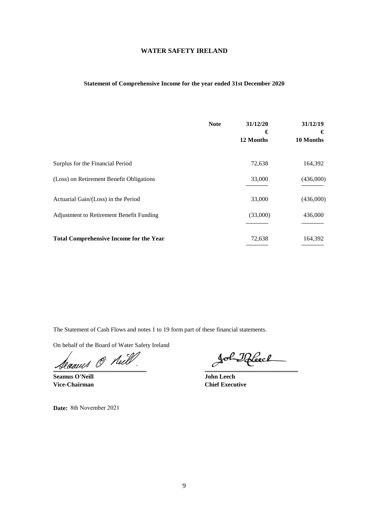## **Statement of Comprehensive Income for the year ended 31st December 2020**

|                                                | <b>Note</b> | 31/12/20<br>€<br>12 Months | 31/12/19<br>€<br>10 Months |
|------------------------------------------------|-------------|----------------------------|----------------------------|
| Surplus for the Financial Period               |             | 72,638                     | 164,392                    |
| (Loss) on Retirement Benefit Obligations       |             | 33,000                     | (436,000)                  |
| Actuarial Gain/(Loss) in the Period            |             | 33,000                     | (436,000)                  |
| Adjustment to Retirement Benefit Funding       |             | (33,000)                   | 436,000                    |
| <b>Total Comprehensive Income for the Year</b> |             | 72,638                     | 164,392                    |

The Statement of Cash Flows and notes 1 to 19 form part of these financial statements.

On behalf of the Board of Water Safety Ireland

Seauns O Neill. Sol Iffeed

**Seamus O'Neill John Leech**

**Vice-Chairman Chief Executive**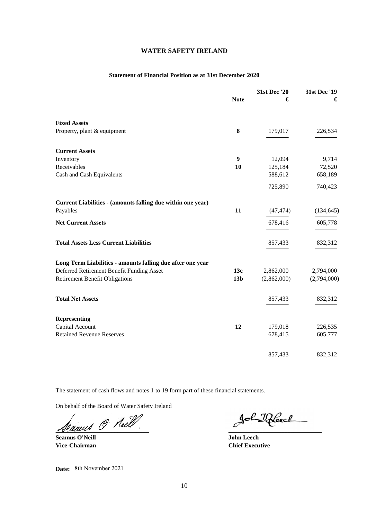### **Statement of Financial Position as at 31st December 2020**

|                                                             | <b>Note</b>     | 31st Dec '20<br>€ | 31st Dec '19<br>€ |
|-------------------------------------------------------------|-----------------|-------------------|-------------------|
| <b>Fixed Assets</b>                                         |                 |                   |                   |
| Property, plant & equipment                                 | 8               | 179,017           | 226,534           |
| <b>Current Assets</b>                                       |                 |                   |                   |
| Inventory                                                   | 9               | 12,094            | 9,714             |
| Receivables                                                 | 10              | 125,184           | 72,520            |
| Cash and Cash Equivalents                                   |                 | 588,612           | 658,189           |
|                                                             |                 | 725,890           | 740,423           |
| Current Liabilities - (amounts falling due within one year) |                 |                   |                   |
| Payables                                                    | 11              | (47, 474)         | (134, 645)        |
| <b>Net Current Assets</b>                                   |                 | 678,416           | 605,778           |
| <b>Total Assets Less Current Liabilities</b>                |                 | 857,433           | 832,312           |
| Long Term Liabilities - amounts falling due after one year  |                 |                   |                   |
| Deferred Retirement Benefit Funding Asset                   | 13c             | 2,862,000         | 2,794,000         |
| <b>Retirement Benefit Obligations</b>                       | 13 <sub>b</sub> | (2,862,000)       | (2,794,000)       |
| <b>Total Net Assets</b>                                     |                 | 857,433           | 832,312           |
| <b>Representing</b>                                         |                 |                   |                   |
| Capital Account                                             | 12              | 179,018           | 226,535           |
| <b>Retained Revenue Reserves</b>                            |                 | 678,415           | 605,777           |
|                                                             |                 | 857,433           | 832,312           |
|                                                             |                 |                   |                   |

The statement of cash flows and notes 1 to 19 form part of these financial statements.

On behalf of the Board of Water Safety Ireland

Seauns O Neill

**Seamus O'Neill John Leech**

**Vice-Chairman Chief Executive**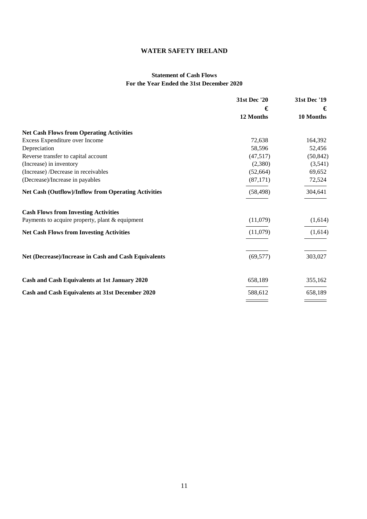## **Statement of Cash Flows For the Year Ended the 31st December 2020**

|                                                            | 31st Dec '20 | 31st Dec '19 |  |
|------------------------------------------------------------|--------------|--------------|--|
|                                                            | €            | €            |  |
|                                                            | 12 Months    | 10 Months    |  |
| <b>Net Cash Flows from Operating Activities</b>            |              |              |  |
| Excess Expenditure over Income                             | 72,638       | 164,392      |  |
| Depreciation                                               | 58,596       | 52,456       |  |
| Reverse transfer to capital account                        | (47,517)     | (50, 842)    |  |
| (Increase) in inventory                                    | (2,380)      | (3,541)      |  |
| (Increase) /Decrease in receivables                        | (52, 664)    | 69,652       |  |
| (Decrease)/Increase in payables                            | (87,171)     | 72,524       |  |
| <b>Net Cash (Outflow)/Inflow from Operating Activities</b> | (58, 498)    | 304,641      |  |
| <b>Cash Flows from Investing Activities</b>                |              |              |  |
| Payments to acquire property, plant & equipment            | (11,079)     | (1,614)      |  |
| <b>Net Cash Flows from Investing Activities</b>            | (11,079)     | (1,614)      |  |
|                                                            |              |              |  |
| Net (Decrease)/Increase in Cash and Cash Equivalents       | (69, 577)    | 303,027      |  |
| Cash and Cash Equivalents at 1st January 2020              | 658,189      | 355,162      |  |
|                                                            | 588,612      | 658,189      |  |
| Cash and Cash Equivalents at 31st December 2020            |              |              |  |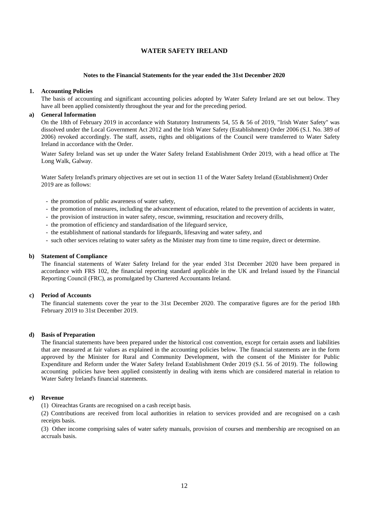#### **Notes to the Financial Statements for the year ended the 31st December 2020**

### **1. Accounting Policies**

The basis of accounting and significant accounting policies adopted by Water Safety Ireland are set out below. They have all been applied consistently throughout the year and for the preceding period.

### **a) General Information**

On the 18th of February 2019 in accordance with Statutory Instruments 54, 55 & 56 of 2019, "Irish Water Safety" was dissolved under the Local Government Act 2012 and the Irish Water Safety (Establishment) Order 2006 (S.I. No. 389 of 2006) revoked accordingly. The staff, assets, rights and obligations of the Council were transferred to Water Safety Ireland in accordance with the Order.

Water Safety Ireland was set up under the Water Safety Ireland Establishment Order 2019, with a head office at The Long Walk, Galway.

Water Safety Ireland's primary objectives are set out in section 11 of the Water Safety Ireland (Establishment) Order 2019 are as follows:

- the promotion of public awareness of water safety,
- the promotion of measures, including the advancement of education, related to the prevention of accidents in water,
- the provision of instruction in water safety, rescue, swimming, resucitation and recovery drills,
- the promotion of efficiency and standardisation of the lifeguard service,
- the establishment of national standards for lifeguards, lifesaving and water safety, and
- such other services relating to water safety as the Minister may from time to time require, direct or determine.

#### **b) Statement of Compliance**

The financial statements of Water Safety Ireland for the year ended 31st December 2020 have been prepared in accordance with FRS 102, the financial reporting standard applicable in the UK and Ireland issued by the Financial Reporting Council (FRC), as promulgated by Chartered Accountants Ireland.

### **c) Period of Accounts**

The financial statements cover the year to the 31st December 2020. The comparative figures are for the period 18th February 2019 to 31st December 2019.

### **d) Basis of Preparation**

The financial statements have been prepared under the historical cost convention, except for certain assets and liabilities that are measured at fair values as explained in the accounting policies below. The financial statements are in the form approved by the Minister for Rural and Community Development, with the consent of the Minister for Public Expenditure and Reform under the Water Safety Ireland Establishment Order 2019 (S.I. 56 of 2019). The following accounting policies have been applied consistently in dealing with items which are considered material in relation to Water Safety Ireland's financial statements.

#### **e) Revenue**

(1) Oireachtas Grants are recognised on a cash receipt basis.

(2) Contributions are received from local authorities in relation to services provided and are recognised on a cash receipts basis.

(3) Other income comprising sales of water safety manuals, provision of courses and membership are recognised on an accruals basis.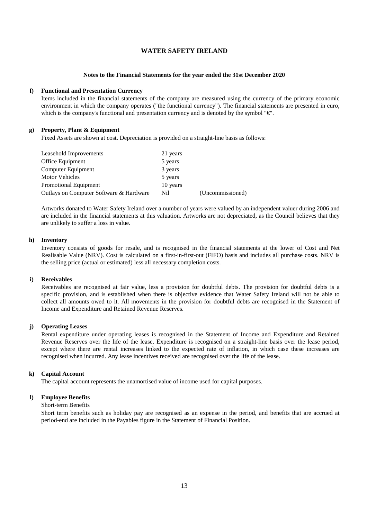#### **Notes to the Financial Statements for the year ended the 31st December 2020**

### **f) Functional and Presentation Currency**

Items included in the financial statements of the company are measured using the currency of the primary economic environment in which the company operates ("the functional currency"). The financial statements are presented in euro, which is the company's functional and presentation currency and is denoted by the symbol  $\mathbb{F} \mathbb{C}^n$ .

### **g) Property, Plant & Equipment**

Fixed Assets are shown at cost. Depreciation is provided on a straight-line basis as follows:

| Leasehold Improvements                  | 21 years |                  |
|-----------------------------------------|----------|------------------|
| Office Equipment                        | 5 years  |                  |
| Computer Equipment                      | 3 years  |                  |
| Motor Vehicles                          | 5 years  |                  |
| Promotional Equipment                   | 10 years |                  |
| Outlays on Computer Software & Hardware | Nil.     | (Uncommissioned) |

Artworks donated to Water Safety Ireland over a number of years were valued by an independent valuer during 2006 and are included in the financial statements at this valuation. Artworks are not depreciated, as the Council believes that they are unlikely to suffer a loss in value.

### **h) Inventory**

Inventory consists of goods for resale, and is recognised in the financial statements at the lower of Cost and Net Realisable Value (NRV). Cost is calculated on a first-in-first-out (FIFO) basis and includes all purchase costs. NRV is the selling price (actual or estimated) less all necessary completion costs.

#### **i) Receivables**

Receivables are recognised at fair value, less a provision for doubtful debts. The provision for doubtful debts is a specific provision, and is established when there is objective evidence that Water Safety Ireland will not be able to collect all amounts owed to it. All movements in the provision for doubtful debts are recognised in the Statement of Income and Expenditure and Retained Revenue Reserves.

### **j) Operating Leases**

Rental expenditure under operating leases is recognised in the Statement of Income and Expenditure and Retained Revenue Reserves over the life of the lease. Expenditure is recognised on a straight-line basis over the lease period, except where there are rental increases linked to the expected rate of inflation, in which case these increases are recognised when incurred. Any lease incentives received are recognised over the life of the lease.

### **k) Capital Account**

The capital account represents the unamortised value of income used for capital purposes.

### **l) Employee Benefits**

#### Short-term Benefits

Short term benefits such as holiday pay are recognised as an expense in the period, and benefits that are accrued at period-end are included in the Payables figure in the Statement of Financial Position.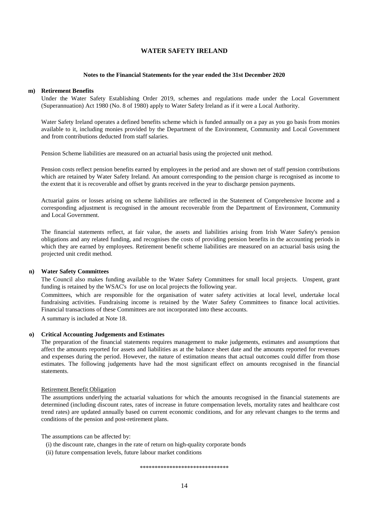#### **Notes to the Financial Statements for the year ended the 31st December 2020**

#### **m) Retirement Benefits**

Under the Water Safety Establishing Order 2019, schemes and regulations made under the Local Government (Superannuation) Act 1980 (No. 8 of 1980) apply to Water Safety Ireland as if it were a Local Authority.

Water Safety Ireland operates a defined benefits scheme which is funded annually on a pay as you go basis from monies available to it, including monies provided by the Department of the Environment, Community and Local Government and from contributions deducted from staff salaries.

Pension Scheme liabilities are measured on an actuarial basis using the projected unit method.

Pension costs reflect pension benefits earned by employees in the period and are shown net of staff pension contributions which are retained by Water Safety Ireland. An amount corresponding to the pension charge is recognised as income to the extent that it is recoverable and offset by grants received in the year to discharge pension payments.

Actuarial gains or losses arising on scheme liabilities are reflected in the Statement of Comprehensive Income and a corresponding adjustment is recognised in the amount recoverable from the Department of Environment, Community and Local Government.

The financial statements reflect, at fair value, the assets and liabilities arising from Irish Water Safety's pension obligations and any related funding, and recognises the costs of providing pension benefits in the accounting periods in which they are earned by employees. Retirement benefit scheme liabilities are measured on an actuarial basis using the projected unit credit method.

#### **n) Water Safety Committees**

The Council also makes funding available to the Water Safety Committees for small local projects. Unspent, grant funding is retained by the WSAC's for use on local projects the following year.

Committees, which are responsible for the organisation of water safety activities at local level, undertake local fundraising activities. Fundraising income is retained by the Water Safety Committees to finance local activities. Financial transactions of these Committees are not incorporated into these accounts.

A summary is included at Note 18.

## **o) Critical Accounting Judgements and Estimates**

The preparation of the financial statements requires management to make judgements, estimates and assumptions that affect the amounts reported for assets and liabilities as at the balance sheet date and the amounts reported for revenues and expenses during the period. However, the nature of estimation means that actual outcomes could differ from those estimates. The following judgements have had the most significant effect on amounts recognised in the financial statements.

#### Retirement Benefit Obligation

The assumptions underlying the actuarial valuations for which the amounts recognised in the financial statements are determined (including discount rates, rates of increase in future compensation levels, mortality rates and healthcare cost trend rates) are updated annually based on current economic conditions, and for any relevant changes to the terms and conditions of the pension and post-retirement plans.

The assumptions can be affected by:

- (i) the discount rate, changes in the rate of return on high-quality corporate bonds
- (ii) future compensation levels, future labour market conditions

\*\*\*\*\*\*\*\*\*\*\*\*\*\*\*\*\*\*\*\*\*\*\*\*\*\*\*\*\*\*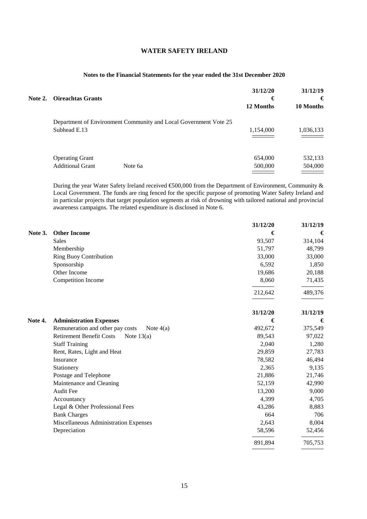## **Notes to the Financial Statements for the year ended the 31st December 2020**

| <b>Note 2. Oireachtas Grants</b>                  |                                                                  | 31/12/20<br>€<br>12 Months | 31/12/19<br>€<br>10 Months |
|---------------------------------------------------|------------------------------------------------------------------|----------------------------|----------------------------|
| Subhead E.13                                      | Department of Environment Community and Local Government Vote 25 | 1,154,000                  | 1,036,133                  |
| <b>Operating Grant</b><br><b>Additional Grant</b> | Note 6a                                                          | 654,000<br>500,000         | 532,133<br>504,000         |

During the year Water Safety Ireland received €500,000 from the Department of Environment, Community & Local Government. The funds are ring fenced for the specific purpose of promoting Water Safety Ireland and in particular projects that target population segments at risk of drowning with tailored national and provincial awareness campaigns. The related expenditure is disclosed in Note 6.

|         |                                                 | 31/12/20 | 31/12/19 |
|---------|-------------------------------------------------|----------|----------|
| Note 3. | <b>Other Income</b>                             | €        | €        |
|         | <b>Sales</b>                                    | 93,507   | 314,104  |
|         | Membership                                      | 51,797   | 48,799   |
|         | <b>Ring Buoy Contribution</b>                   | 33,000   | 33,000   |
|         | Sponsorship                                     | 6,592    | 1,850    |
|         | Other Income                                    | 19,686   | 20,188   |
|         | Competition Income                              | 8,060    | 71,435   |
|         |                                                 | 212,642  | 489,376  |
|         |                                                 | 31/12/20 | 31/12/19 |
| Note 4. | <b>Administration Expenses</b>                  | €        | €        |
|         | Remuneration and other pay costs<br>Note $4(a)$ | 492,672  | 375,549  |
|         | <b>Retirement Benefit Costs</b><br>Note $13(a)$ | 89,543   | 97,022   |
|         | <b>Staff Training</b>                           | 2,040    | 1,280    |
|         | Rent, Rates, Light and Heat                     | 29,859   | 27,783   |
|         | Insurance                                       | 78,582   | 46,494   |
|         | Stationery                                      | 2,365    | 9,135    |
|         | Postage and Telephone                           | 21,886   | 21,746   |
|         | Maintenance and Cleaning                        | 52,159   | 42,990   |
|         | <b>Audit Fee</b>                                | 13,200   | 9,000    |
|         | Accountancy                                     | 4,399    | 4,705    |
|         | Legal & Other Professional Fees                 | 43,286   | 8,883    |
|         | <b>Bank Charges</b>                             | 664      | 706      |
|         | Miscellaneous Administration Expenses           | 2,643    | 8,004    |
|         | Depreciation                                    | 58,596   | 52,456   |
|         |                                                 | 891,894  | 705,753  |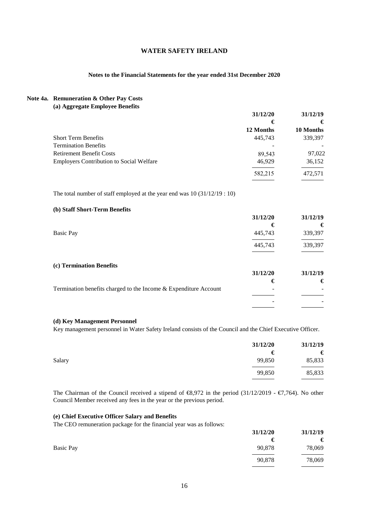## **Notes to the Financial Statements for the year ended 31st December 2020**

#### **Note 4a. Remuneration & Other Pay Costs (a) Aggregate Employee Benefits**

| $(a)$ $\Delta_{\mathbf{S}}$ $\Delta_{\mathbf{S}}$ $\Delta_{\mathbf{S}}$ $\Delta_{\mathbf{S}}$ $\Delta_{\mathbf{S}}$ $\Delta_{\mathbf{S}}$ $\Delta_{\mathbf{S}}$ $\Delta_{\mathbf{S}}$ $\Delta_{\mathbf{S}}$ $\Delta_{\mathbf{S}}$ | 31/12/20  | 31/12/19  |  |
|-----------------------------------------------------------------------------------------------------------------------------------------------------------------------------------------------------------------------------------|-----------|-----------|--|
|                                                                                                                                                                                                                                   | €         | €         |  |
|                                                                                                                                                                                                                                   | 12 Months | 10 Months |  |
| <b>Short Term Benefits</b>                                                                                                                                                                                                        | 445,743   | 339,397   |  |
| <b>Termination Benefits</b>                                                                                                                                                                                                       |           |           |  |
| <b>Retirement Benefit Costs</b>                                                                                                                                                                                                   | 89.543    | 97,022    |  |
| <b>Employers Contribution to Social Welfare</b>                                                                                                                                                                                   | 46,929    | 36,152    |  |
|                                                                                                                                                                                                                                   | 582,215   | 472.571   |  |

The total number of staff employed at the year end was 10 (31/12/19 : 10)

## **(b) Staff Short-Term Benefits**

|                          | 31/12/20 | 31/12/19 |
|--------------------------|----------|----------|
|                          | €        | €        |
| <b>Basic Pay</b>         | 445,743  | 339,397  |
|                          | 445,743  | 339,397  |
| (c) Termination Benefits |          |          |

|                                                                  | 31/12/20 | 31/12/19 |
|------------------------------------------------------------------|----------|----------|
|                                                                  |          | €        |
| Termination benefits charged to the Income & Expenditure Account | -        |          |
|                                                                  |          |          |
|                                                                  | -        |          |
|                                                                  |          |          |

### **(d) Key Management Personnel**

Key management personnel in Water Safety Ireland consists of the Council and the Chief Executive Officer.

| 31/12/20 | 31/12/19 |
|----------|----------|
| €        | €        |
| 99,850   | 85,833   |
| 99,850   | 85,833   |
|          |          |

The Chairman of the Council received a stipend of  $\epsilon$ 8,972 in the period (31/12/2019 -  $\epsilon$ 7,764). No other Council Member received any fees in the year or the previous period.

### **(e) Chief Executive Officer Salary and Benefits**

The CEO remuneration package for the financial year was as follows:

|                  | 31/12/20 | 31/12/19 |  |
|------------------|----------|----------|--|
|                  | €        | €        |  |
| <b>Basic Pay</b> | 90,878   | 78,069   |  |
|                  | 90,878   | 78,069   |  |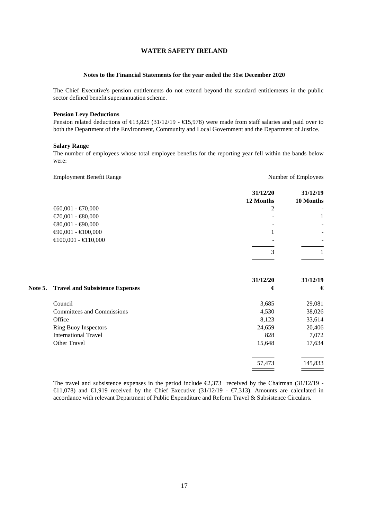#### **Notes to the Financial Statements for the year ended the 31st December 2020**

The Chief Executive's pension entitlements do not extend beyond the standard entitlements in the public sector defined benefit superannuation scheme.

#### **Pension Levy Deductions**

Pension related deductions of  $\text{\textsterling}13,825$  (31/12/19 -  $\text{\textsterling}15,978$ ) were made from staff salaries and paid over to both the Department of the Environment, Community and Local Government and the Department of Justice.

#### **Salary Range**

The number of employees whose total employee benefits for the reporting year fell within the bands below were:

|                | <b>Employment Benefit Range</b>        | <b>Number of Employees</b> |                       |  |
|----------------|----------------------------------------|----------------------------|-----------------------|--|
|                |                                        | 31/12/20<br>12 Months      | 31/12/19<br>10 Months |  |
|                | € $60,001 - $ €70,000                  | 2                          |                       |  |
|                | $€70,001 - €80,000$                    |                            | 1                     |  |
|                | €80,001 - €90,000                      |                            |                       |  |
|                | $€90,001 - €100,000$                   |                            |                       |  |
|                | €100,001 - €110,000                    |                            |                       |  |
|                |                                        |                            |                       |  |
|                |                                        | 3                          |                       |  |
|                |                                        | 31/12/20                   | 31/12/19              |  |
| <b>Note 5.</b> | <b>Travel and Subsistence Expenses</b> | €                          | €                     |  |
|                | Council                                | 3,685                      | 29,081                |  |
|                | <b>Committees and Commissions</b>      | 4,530                      | 38,026                |  |
|                | Office                                 | 8,123                      | 33,614                |  |
|                | <b>Ring Buoy Inspectors</b>            | 24,659                     | 20,406                |  |
|                | <b>International Travel</b>            | 828                        | 7,072                 |  |
|                | Other Travel                           | 15,648                     | 17,634                |  |
|                |                                        | 57,473                     | 145,833               |  |
|                |                                        |                            |                       |  |

The travel and subsistence expenses in the period include  $\epsilon$ 2,373 received by the Chairman (31/12/19 -€11,078) and €1,919 received by the Chief Executive (31/12/19 - €7,313). Amounts are calculated in accordance with relevant Department of Public Expenditure and Reform Travel & Subsistence Circulars.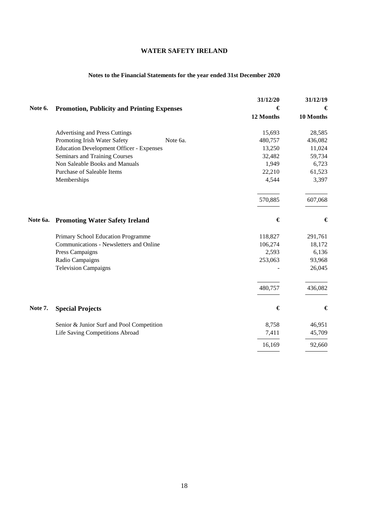## **Notes to the Financial Statements for the year ended 31st December 2020**

|          |                                                   | 31/12/20  | 31/12/19  |  |
|----------|---------------------------------------------------|-----------|-----------|--|
| Note 6.  | <b>Promotion, Publicity and Printing Expenses</b> | €         | €         |  |
|          |                                                   | 12 Months | 10 Months |  |
|          | <b>Advertising and Press Cuttings</b>             | 15,693    | 28,585    |  |
|          | Promoting Irish Water Safety<br>Note 6a.          | 480,757   | 436,082   |  |
|          | <b>Education Development Officer - Expenses</b>   | 13,250    | 11,024    |  |
|          | Seminars and Training Courses                     | 32,482    | 59,734    |  |
|          | Non Saleable Books and Manuals                    | 1,949     | 6,723     |  |
|          | Purchase of Saleable Items                        | 22,210    | 61,523    |  |
|          | Memberships                                       | 4,544     | 3,397     |  |
|          |                                                   | 570,885   | 607,068   |  |
| Note 6a. | <b>Promoting Water Safety Ireland</b>             | €         | €         |  |
|          | Primary School Education Programme                | 118,827   | 291,761   |  |
|          | Communications - Newsletters and Online           | 106,274   | 18,172    |  |
|          | Press Campaigns                                   | 2,593     | 6,136     |  |
|          | Radio Campaigns                                   | 253,063   | 93,968    |  |
|          | <b>Television Campaigns</b>                       |           | 26,045    |  |
|          |                                                   | 480,757   | 436,082   |  |
| Note 7.  | <b>Special Projects</b>                           | €         | €         |  |
|          | Senior & Junior Surf and Pool Competition         | 8,758     | 46,951    |  |
|          | Life Saving Competitions Abroad                   | 7,411     | 45,709    |  |
|          |                                                   | 16,169    | 92,660    |  |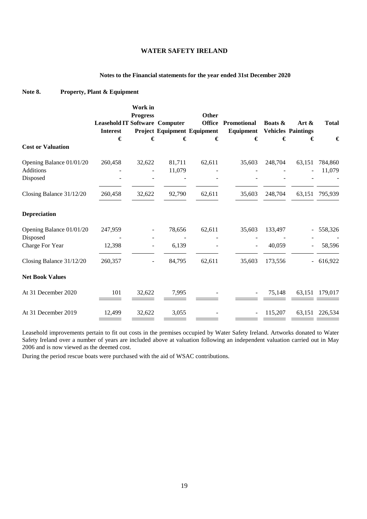## **Notes to the Financial statements for the year ended 31st December 2020**

## **Note 8. Property, Plant & Equipment**

|                          | Work in<br><b>Progress</b>            |        |                             | <b>Other</b>  |                          |                           |                          |                |
|--------------------------|---------------------------------------|--------|-----------------------------|---------------|--------------------------|---------------------------|--------------------------|----------------|
|                          | <b>Leasehold IT Software Computer</b> |        |                             | <b>Office</b> | Promotional              | Boats &                   | Art $\&$                 | <b>Total</b>   |
|                          | <b>Interest</b>                       |        | Project Equipment Equipment |               | Equipment                | <b>Vehicles Paintings</b> |                          |                |
|                          | €                                     | €      | €                           |               | €<br>€                   | €                         | €                        | €              |
| <b>Cost or Valuation</b> |                                       |        |                             |               |                          |                           |                          |                |
| Opening Balance 01/01/20 | 260,458                               | 32,622 | 81,711                      | 62,611        | 35,603                   | 248,704                   | 63,151                   | 784,860        |
| <b>Additions</b>         |                                       |        | 11,079                      |               |                          |                           |                          | 11,079         |
| Disposed                 |                                       |        |                             |               |                          |                           |                          |                |
| Closing Balance 31/12/20 | 260,458                               | 32,622 | 92,790                      | 62,611        | 35,603                   | 248,704                   |                          | 63,151 795,939 |
| <b>Depreciation</b>      |                                       |        |                             |               |                          |                           |                          |                |
| Opening Balance 01/01/20 | 247,959                               |        | 78,656                      | 62,611        | 35,603                   | 133,497                   |                          | 558,326        |
| Disposed                 |                                       |        |                             |               |                          |                           |                          |                |
| Charge For Year          | 12,398                                | -      | 6,139                       |               |                          | 40,059                    |                          | 58,596         |
| Closing Balance 31/12/20 | 260,357                               |        | 84,795                      | 62,611        | 35,603                   | 173,556                   | $\overline{\phantom{0}}$ | 616,922        |
| <b>Net Book Values</b>   |                                       |        |                             |               |                          |                           |                          |                |
| At 31 December 2020      | 101                                   | 32,622 | 7,995                       |               | $\overline{\phantom{a}}$ | 75,148                    | 63,151                   | 179,017        |
| At 31 December 2019      | 12,499                                | 32,622 | 3,055                       |               |                          | 115,207                   |                          | 63,151 226,534 |

Leasehold improvements pertain to fit out costs in the premises occupied by Water Safety Ireland. Artworks donated to Water Safety Ireland over a number of years are included above at valuation following an independent valuation carried out in May 2006 and is now viewed as the deemed cost.

During the period rescue boats were purchased with the aid of WSAC contributions.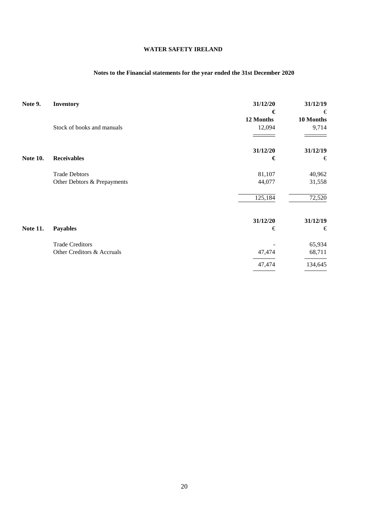## **Notes to the Financial statements for the year ended the 31st December 2020**

| Note 9.         | Inventory                   | 31/12/20<br>€ | 31/12/19<br>€ |
|-----------------|-----------------------------|---------------|---------------|
|                 |                             | 12 Months     | 10 Months     |
|                 | Stock of books and manuals  | 12,094        | 9,714         |
|                 |                             |               |               |
|                 |                             | 31/12/20      | 31/12/19      |
| <b>Note 10.</b> | <b>Receivables</b>          | €             | €             |
|                 | <b>Trade Debtors</b>        | 81,107        | 40,962        |
|                 | Other Debtors & Prepayments | 44,077        | 31,558        |
|                 |                             | 125,184       | 72,520        |
|                 |                             | 31/12/20      | 31/12/19      |
| <b>Note 11.</b> | <b>Payables</b>             | €             | €             |
|                 | <b>Trade Creditors</b>      |               | 65,934        |
|                 | Other Creditors & Accruals  | 47,474        | 68,711        |
|                 |                             | 47,474        | 134,645       |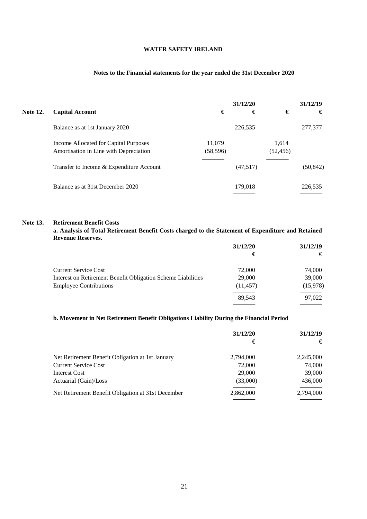## **Notes to the Financial statements for the year ended the 31st December 2020**

|                 |                                                                                 |                     | 31/12/20 |                    | 31/12/19  |
|-----------------|---------------------------------------------------------------------------------|---------------------|----------|--------------------|-----------|
| <b>Note 12.</b> | <b>Capital Account</b>                                                          | €                   | €        | €                  | €         |
|                 | Balance as at 1st January 2020                                                  |                     | 226,535  |                    | 277,377   |
|                 | Income Allocated for Capital Purposes<br>Amortisation in Line with Depreciation | 11,079<br>(58, 596) |          | 1.614<br>(52, 456) |           |
|                 | Transfer to Income & Expenditure Account                                        |                     | (47,517) |                    | (50, 842) |
|                 | Balance as at 31st December 2020                                                |                     | 179,018  |                    | 226,535   |

#### **Note 13. Retirement Benefit Costs**

**a. Analysis of Total Retirement Benefit Costs charged to the Statement of Expenditure and Retained Revenue Reserves.**

|                                                              | 31/12/20  | 31/12/19 |
|--------------------------------------------------------------|-----------|----------|
|                                                              | €         | €        |
| <b>Current Service Cost</b>                                  | 72,000    | 74,000   |
| Interest on Retirement Benefit Obligation Scheme Liabilities | 29,000    | 39,000   |
| <b>Employee Contributions</b>                                | (11, 457) | (15,978) |
|                                                              | 89.543    | 97,022   |
|                                                              |           |          |

## **b. Movement in Net Retirement Benefit Obligations Liability During the Financial Period**

|                                                    | 31/12/20  | 31/12/19  |
|----------------------------------------------------|-----------|-----------|
|                                                    | €         | €         |
| Net Retirement Benefit Obligation at 1st January   | 2,794,000 | 2,245,000 |
| <b>Current Service Cost</b>                        | 72,000    | 74,000    |
| Interest Cost                                      | 29,000    | 39,000    |
| Actuarial (Gain)/Loss                              | (33,000)  | 436,000   |
| Net Retirement Benefit Obligation at 31st December | 2,862,000 | 2,794,000 |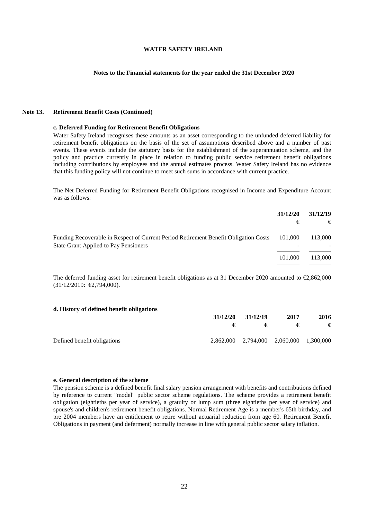#### **Notes to the Financial statements for the year ended the 31st December 2020**

#### **Note 13. Retirement Benefit Costs (Continued)**

#### **c. Deferred Funding for Retirement Benefit Obligations**

Water Safety Ireland recognises these amounts as an asset corresponding to the unfunded deferred liability for retirement benefit obligations on the basis of the set of assumptions described above and a number of past events. These events include the statutory basis for the establishment of the superannuation scheme, and the policy and practice currently in place in relation to funding public service retirement benefit obligations including contributions by employees and the annual estimates process. Water Safety Ireland has no evidence that this funding policy will not continue to meet such sums in accordance with current practice.

The Net Deferred Funding for Retirement Benefit Obligations recognised in Income and Expenditure Account was as follows:

|                                                                                                                                      | 31/12/20<br>€ | 31/12/19<br>€ |
|--------------------------------------------------------------------------------------------------------------------------------------|---------------|---------------|
| Funding Recoverable in Respect of Current Period Retirement Benefit Obligation Costs<br><b>State Grant Applied to Pay Pensioners</b> | 101.000       | 113,000       |
|                                                                                                                                      | 101,000       | 113,000       |

The deferred funding asset for retirement benefit obligations as at 31 December 2020 amounted to  $\epsilon$ 2,862,000 (31/12/2019: €2,794,000).

#### **d. History of defined benefit obligations**

|                             | 31/12/20 | 31/12/19 | 2017                                    | 2016 |
|-----------------------------|----------|----------|-----------------------------------------|------|
|                             |          |          | €                                       | €    |
| Defined benefit obligations |          |          | 2,862,000 2,794,000 2,060,000 1,300,000 |      |

#### **e. General description of the scheme**

The pension scheme is a defined benefit final salary pension arrangement with benefits and contributions defined by reference to current "model" public sector scheme regulations. The scheme provides a retirement benefit obligation (eightieths per year of service), a gratuity or lump sum (three eightieths per year of service) and spouse's and children's retirement benefit obligations. Normal Retirement Age is a member's 65th birthday, and pre 2004 members have an entitlement to retire without actuarial reduction from age 60. Retirement Benefit Obligations in payment (and deferment) normally increase in line with general public sector salary inflation.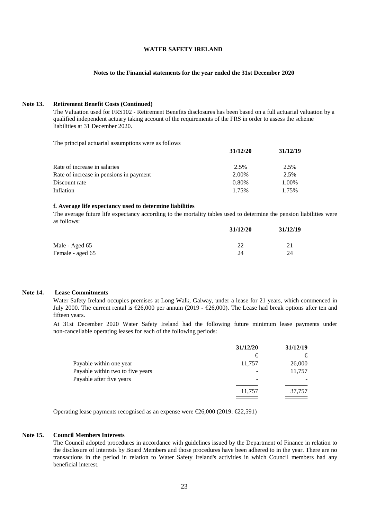### **Notes to the Financial statements for the year ended the 31st December 2020**

### **Note 13. Retirement Benefit Costs (Continued)**

The Valuation used for FRS102 - Retirement Benefits disclosures has been based on a full actuarial valuation by a qualified independent actuary taking account of the requirements of the FRS in order to assess the scheme liabilities at 31 December 2020.

**31/12/20 31/12/19**

The principal actuarial assumptions were as follows

| 31/12/20 | 31/12/19 |
|----------|----------|
| 2.5%     | 2.5%     |
| 2.00%    | 2.5%     |
| 0.80%    | 1.00%    |
| 1.75%    | 1.75%    |
|          |          |

### **f. Average life expectancy used to determine liabilities**

The average future life expectancy according to the mortality tables used to determine the pension liabilities were as follows:

| 31/12/20 | 31/12/19 |
|----------|----------|
| 22       | 21       |
| 24       | 24       |
|          |          |

### **Note 14. Lease Commitments**

Water Safety Ireland occupies premises at Long Walk, Galway, under a lease for 21 years, which commenced in July 2000. The current rental is €26,000 per annum (2019 - €26,000). The Lease had break options after ten and fifteen years.

At 31st December 2020 Water Safety Ireland had the following future minimum lease payments under non-cancellable operating leases for each of the following periods:

|                                  | 31/12/20 | 31/12/19 |
|----------------------------------|----------|----------|
|                                  | €        | €        |
| Payable within one year          | 11,757   | 26,000   |
| Payable within two to five years |          | 11,757   |
| Payable after five years         |          |          |
|                                  | 11,757   | 37,757   |
|                                  |          |          |

Operating lease payments recognised as an expense were €26,000 (2019: €22,591)

### **Note 15. Council Members Interests**

The Council adopted procedures in accordance with guidelines issued by the Department of Finance in relation to the disclosure of Interests by Board Members and those procedures have been adhered to in the year. There are no transactions in the period in relation to Water Safety Ireland's activities in which Council members had any beneficial interest.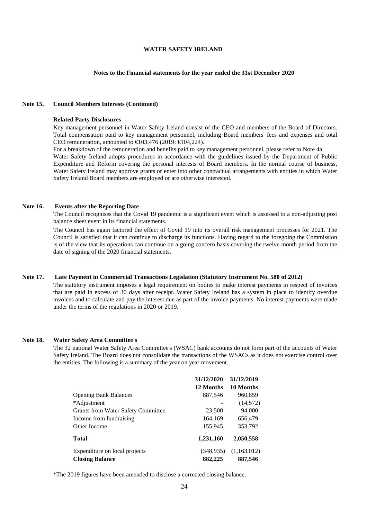### **Notes to the Financial statements for the year ended the 31st December 2020**

### **Note 15. Council Members Interests (Continued)**

#### **Related Party Disclosures**

Key management personnel in Water Safety Ireland consist of the CEO and members of the Board of Directors. Total compensation paid to key management personnel, including Board members' fees and expenses and total CEO remuneration, amounted to €103,476 (2019: €104,224).

For a breakdown of the remuneration and benefits paid to key management personnel, please refer to Note 4a. Water Safety Ireland adopts procedures in accordance with the guidelines issued by the Department of Public Expenditure and Reform covering the personal interests of Board members. In the normal course of business, Water Safety Ireland may approve grants or enter into other contractual arrangements with entities in which Water Safety Ireland Board members are employed or are otherwise interested.

## **Note 16. Events after the Reporting Date**

The Council recognises that the Covid 19 pandemic is a significant event which is assessed to a non-adjusting post balance sheet event in its financial statements.

The Council has again factored the effect of Covid 19 into its overall risk management processes for 2021. The Council is satisfied that it can continue to discharge its functions. Having regard to the foregoing the Commission is of the view that its operations can continue on a going concern basis covering the twelve month period from the date of signing of the 2020 financial statements.

#### **Note 17. Late Payment in Commercial Transactions Legislation (Statutory Instrument No. 580 of 2012)**

The statutory instrument imposes a legal requirement on bodies to make interest payments in respect of invoices that are paid in excess of 30 days after receipt. Water Safety Ireland has a system in place to identify overdue invoices and to calculate and pay the interest due as part of the invoice payments. No interest payments were made under the terms of the regulations in 2020 or 2019.

#### **Note 18. Water Safety Area Committee's**

The 32 national Water Safety Area Committee's (WSAC) bank accounts do not form part of the accounts of Water Safety Ireland. The Board does not consolidate the transactions of the WSACs as it does not exercise control over the entities. The following is a summary of the year on year movement.

|                                           | 31/12/2020 | 31/12/2019  |
|-------------------------------------------|------------|-------------|
|                                           | 12 Months  | 10 Months   |
| <b>Opening Bank Balances</b>              | 887,546    | 960,859     |
| *Adjustment                               |            | (14, 572)   |
| <b>Grants from Water Safety Committee</b> | 23,500     | 94,000      |
| Income from fundraising                   | 164,169    | 656,479     |
| Other Income                              | 155,945    | 353,792     |
| Total                                     | 1,231,160  | 2,050,558   |
| Expenditure on local projects             | (348, 935) | (1,163,012) |
| <b>Closing Balance</b>                    | 882,225    | 887,546     |

\*The 2019 figures have been amended to disclose a corrected closing balance.